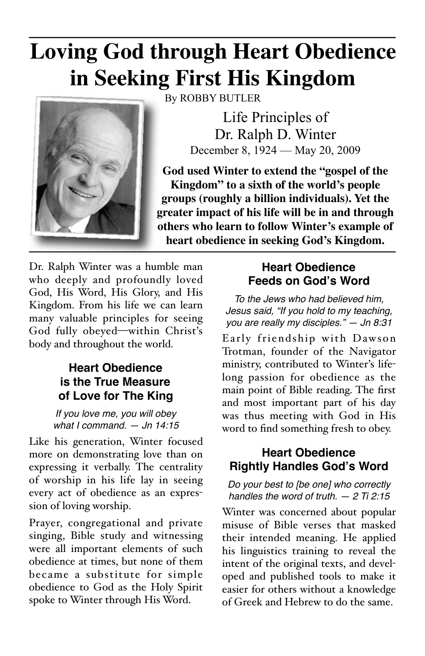# **Loving God through Heart Obedience in Seeking First His Kingdom**

By ROBBY BUTLER



Life Principles of Dr. Ralph D. Winter

December 8, 1924 — May 20, 2009

**God used Winter to extend the "gospel of the Kingdom" to a sixth of the world's people groups (roughly a billion individuals). Yet the greater impact of his life will be in and through others who learn to follow Winter's example of heart obedience in seeking God's Kingdom.**

Dr. Ralph Winter was a humble man who deeply and profoundly loved God, His Word, His Glory, and His Kingdom. From his life we can learn many valuable principles for seeing God fully obeyed—within Christ's body and throughout the world.

## **Heart Obedience is the True Measure of Love for The King**

*If you love me, you will obey what I command. — Jn 14:15*

Like his generation, Winter focused more on demonstrating love than on expressing it verbally. The centrality of worship in his life lay in seeing every act of obedience as an expression of loving worship.

Prayer, congregational and private singing, Bible study and witnessing were all important elements of such obedience at times, but none of them became a substitute for simple obedience to God as the Holy Spirit spoke to Winter through His Word.

# **Heart Obedience Feeds on God's Word**

*To the Jews who had believed him, Jesus said, "If you hold to my teaching, you are really my disciples." — Jn 8:31*

Early friendship with Dawson Trotman, founder of the Navigator ministry, contributed to Winter's lifelong passion for obedience as the main point of Bible reading. The first and most important part of his day was thus meeting with God in His word to find something fresh to obey.

# **Heart Obedience Rightly Handles God's Word**

*Do your best to [be one] who correctly handles the word of truth. — 2 Ti [2:15](http://www.blueletterbible.org/Bible.cfm?b=2Ti&c=2&v=15&t=NIV#15)*

Winter was concerned about popular misuse of Bible verses that masked their intended meaning. He applied his linguistics training to reveal the intent of the original texts, and developed and published tools to make it easier for others without a knowledge of Greek and Hebrew to do the same.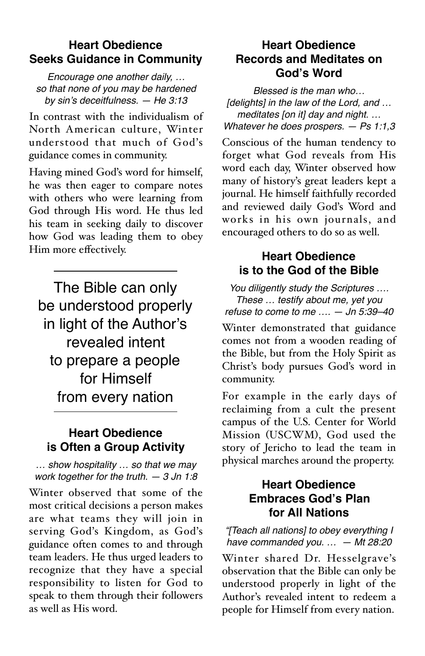## **Heart Obedience Seeks Guidance in Community**

*Encourage one another daily, … so that none of you may be hardened by sin*'*s deceitfulness. — He 3:13*

In contrast with the individualism of North American culture, Winter understood that much of God's guidance comes in community.

Having mined God's word for himself, he was then eager to compare notes with others who were learning from God through His word. He thus led his team in seeking daily to discover how God was leading them to obey Him more effectively.

The Bible can only be understood properly in light of the Author's revealed intent to prepare a people for Himself from every nation

#### **Heart Obedience is Often a Group Activity**

*… show hospitality … so that we may work together for the truth. — 3 Jn 1:8*

Winter observed that some of the most critical decisions a person makes are what teams they will join in serving God's Kingdom, as God's guidance often comes to and through team leaders. He thus urged leaders to recognize that they have a special responsibility to listen for God to speak to them through their followers as well as His word.

## **Heart Obedience Records and Meditates on God's Word**

*Blessed is the man who… [delights] in the law of the Lord, and … meditates [on it] day and night. … Whatever he does prospers. — Ps 1:1,3*

Conscious of the human tendency to forget what God reveals from His word each day, Winter observed how many of history's great leaders kept a journal. He himself faithfully recorded and reviewed daily God's Word and works in his own journals, and encouraged others to do so as well.

#### **Heart Obedience is to the God of the Bible**

*You diligently study the Scriptures …. These … testify about me, yet you refuse to come to me …. — Jn 5:39–40*

Winter demonstrated that guidance comes not from a wooden reading of the Bible, but from the Holy Spirit as Christ's body pursues God's word in community.

For example in the early days of reclaiming from a cult the present campus of the U.S. Center for World Mission (USCWM), God used the story of Jericho to lead the team in physical marches around the property.

# **Heart Obedience Embraces God's Plan for All Nations**

*"[Teach all nations] to obey everything I have commanded you. … — Mt 28:20*

Winter shared Dr. Hesselgrave's observation that the Bible can only be understood properly in light of the Author's revealed intent to redeem a people for Himself from every nation.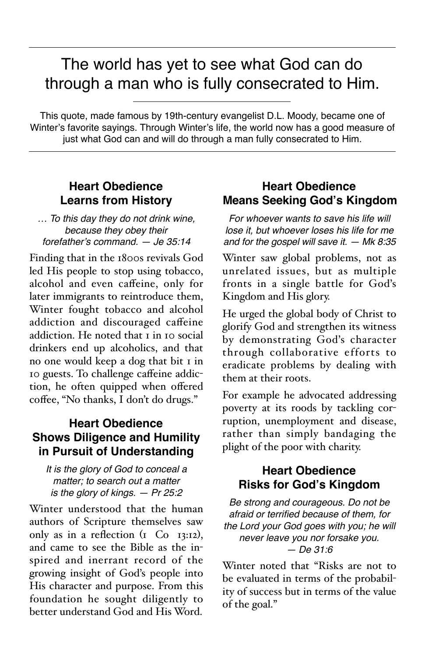# The world has yet to see what God can do through a man who is fully consecrated to Him.

This quote, made famous by 19th-century evangelist D.L. Moody, became one of Winter's favorite sayings. Through Winter's life, the world now has a good measure of just what God can and will do through a man fully consecrated to Him.

# **Heart Obedience Learns from History**

*… To this day they do not drink wine, because they obey their forefather*'*s command. — Je 35:14*

Finding that in the 1800s revivals God led His people to stop using tobacco, alcohol and even caffeine, only for later immigrants to reintroduce them, Winter fought tobacco and alcohol addiction and discouraged caffeine addiction. He noted that 1 in 10 social drinkers end up alcoholics, and that no one would keep a dog that bit 1 in 10 guests. To challenge caffeine addiction, he often quipped when offered coffee, "No thanks, I don't do drugs."

#### **Heart Obedience Shows Diligence and Humility in Pursuit of Understanding**

#### *It is the glory of God to conceal a matter; to search out a matter is the glory of kings. — Pr 25:2*

Winter understood that the human authors of Scripture themselves saw only as in a reflection  $(I \text{ Co } I3:12)$ , and came to see the Bible as the inspired and inerrant record of the growing insight of God's people into His character and purpose. From this foundation he sought diligently to better understand God and His Word.

## **Heart Obedience Means Seeking God's Kingdom**

*For whoever wants to save his life will lose it, but whoever loses his life for me and for the gospel will save it. — Mk 8:35*

Winter saw global problems, not as unrelated issues, but as multiple fronts in a single battle for God's Kingdom and His glory.

He urged the global body of Christ to glorify God and strengthen its witness by demonstrating God's character through collaborative efforts to eradicate problems by dealing with them at their roots.

For example he advocated addressing poverty at its roods by tackling corruption, unemployment and disease, rather than simply bandaging the plight of the poor with charity.

#### **Heart Obedience Risks for God's Kingdom**

*Be strong and courageous. Do not be afraid or terrified because of them, for the Lord your God goes with you; he will never leave you nor forsake you. — De 31:6*

Winter noted that "Risks are not to be evaluated in terms of the probability of success but in terms of the value of the goal."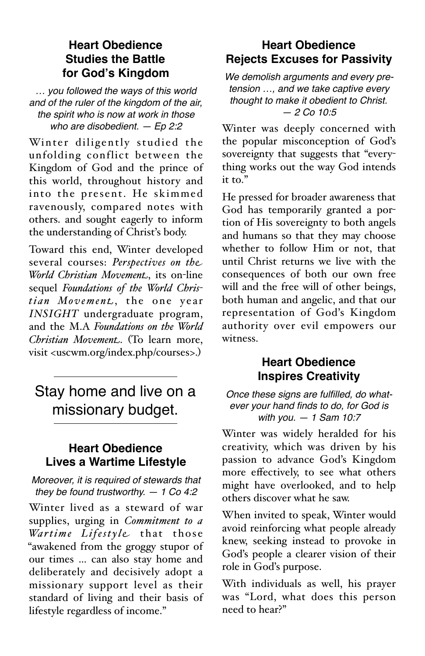## **Heart Obedience Studies the Battle for God's Kingdom**

*… you followed the ways of this world and of the ruler of the kingdom of the air, the spirit who is now at work in those who are disobedient. — Ep 2:2*

Winter diligently studied the unfolding conflict between the Kingdom of God and the prince of this world, throughout history and into the present. He skimmed ravenously, compared notes with others. and sought eagerly to inform the understanding of Christ's body.

Toward this end, Winter developed several courses: *Perspectives on the World Christian Movement*, its on-line sequel *Foundations of the World Chris* $t$ *ian* Movement, the one year *INSIGHT* undergraduate program, and the M.A *Foundations on the World Christian Movement*. (To learn more, visit <uscwm.org/index.php/courses>.)

# Stay home and live on a missionary budget.

#### **Heart Obedience Lives a Wartime Lifestyle**

*Moreover, it is required of stewards that they be found trustworthy. — 1 Co 4:2*

Winter lived as a steward of war supplies, urging in *Commitment to a Wartime Lifestyle* that those "awakened from the groggy stupor of our times … can also stay home and deliberately and decisively adopt a missionary support level as their standard of living and their basis of lifestyle regardless of income."

# **Heart Obedience Rejects Excuses for Passivity**

*We demolish arguments and every pretension …, and we take captive every thought to make it obedient to Christ. — 2 Co 10:5*

Winter was deeply concerned with the popular misconception of God's sovereignty that suggests that "everything works out the way God intends it to."

He pressed for broader awareness that God has temporarily granted a portion of His sovereignty to both angels and humans so that they may choose whether to follow Him or not, that until Christ returns we live with the consequences of both our own free will and the free will of other beings, both human and angelic, and that our representation of God's Kingdom authority over evil empowers our witness.

#### **Heart Obedience Inspires Creativity**

*Once these signs are fulfilled, do whatever your hand finds to do, for God is with you. — 1 Sam 10:7*

Winter was widely heralded for his creativity, which was driven by his passion to advance God's Kingdom more effectively, to see what others might have overlooked, and to help others discover what he saw.

When invited to speak, Winter would avoid reinforcing what people already knew, seeking instead to provoke in God's people a clearer vision of their role in God's purpose.

With individuals as well, his prayer was "Lord, what does this person need to hear?"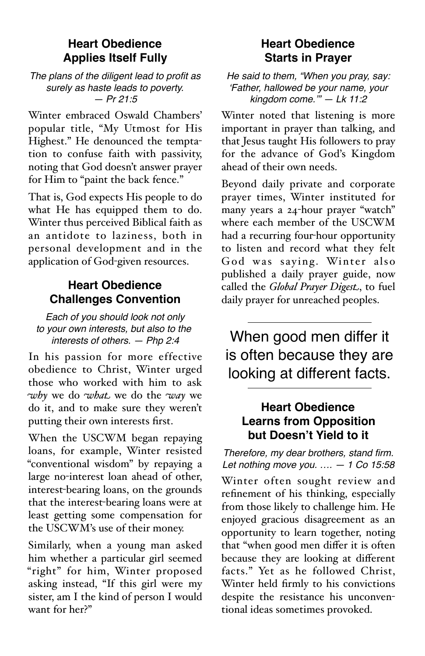#### **Heart Obedience Applies Itself Fully**

*The plans of the diligent lead to profit as surely as haste leads to poverty. — Pr 21:5*

Winter embraced Oswald Chambers' popular title, "My Utmost for His Highest." He denounced the temptation to confuse faith with passivity, noting that God doesn't answer prayer for Him to "paint the back fence."

That is, God expects His people to do what He has equipped them to do. Winter thus perceived Biblical faith as an antidote to laziness, both in personal development and in the application of God-given resources.

# **Heart Obedience Challenges Convention**

*Each of you should look not only to your own interests, but also to the interests of others. — Php 2:4*

In his passion for more effective obedience to Christ, Winter urged those who worked with him to ask *why* we do *what* we do the *way* we do it, and to make sure they weren't putting their own interests first.

When the USCWM began repaying loans, for example, Winter resisted "conventional wisdom" by repaying a large no-interest loan ahead of other, interest-bearing loans, on the grounds that the interest-bearing loans were at least getting some compensation for the USCWM's use of their money.

Similarly, when a young man asked him whether a particular girl seemed "right" for him, Winter proposed asking instead, "If this girl were my sister, am I the kind of person I would want for her?"

#### **Heart Obedience Starts in Prayer**

*He said to them, "When you pray, say:*  ʻ*Father, hallowed be your name, your kingdom come.*'*" — Lk 11:2*

Winter noted that listening is more important in prayer than talking, and that Jesus taught His followers to pray for the advance of God's Kingdom ahead of their own needs.

Beyond daily private and corporate prayer times, Winter instituted for many years a 24-hour prayer "watch" where each member of the USCWM had a recurring four-hour opportunity to listen and record what they felt God was saying. Winter also published a daily prayer guide, now called the *Global Prayer Digest*, to fuel daily prayer for unreached peoples.

When good men differ it is often because they are looking at different facts.

## **Heart Obedience Learns from Opposition but Doesn't Yield to it**

*Therefore, my dear brothers, stand firm. Let nothing move you. …. — 1 Co 15:58* Winter often sought review and refinement of his thinking, especially from those likely to challenge him. He enjoyed gracious disagreement as an opportunity to learn together, noting that "when good men differ it is often because they are looking at different facts." Yet as he followed Christ, Winter held firmly to his convictions despite the resistance his unconventional ideas sometimes provoked.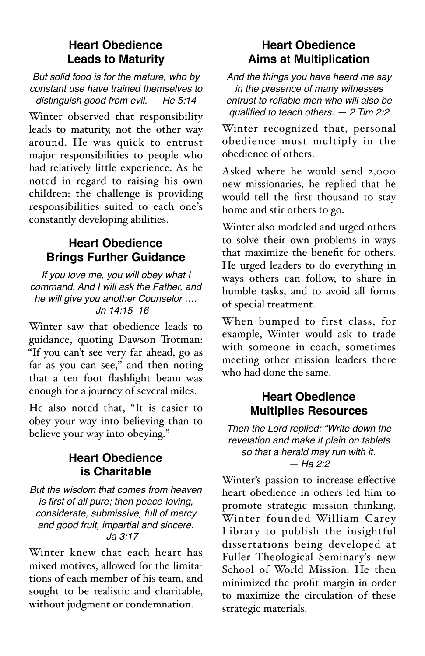# **Heart Obedience Leads to Maturity**

*But solid food is for the mature, who by constant use have trained themselves to distinguish good from evil. — He 5:14*

Winter observed that responsibility leads to maturity, not the other way around. He was quick to entrust major responsibilities to people who had relatively little experience. As he noted in regard to raising his own children: the challenge is providing responsibilities suited to each one's constantly developing abilities.

# **Heart Obedience Brings Further Guidance**

*If you love me, you will obey what I command. And I will ask the Father, and he will give you another Counselor …. — Jn 14:15–16*

Winter saw that obedience leads to guidance, quoting Dawson Trotman: "If you can't see very far ahead, go as far as you can see," and then noting that a ten foot flashlight beam was enough for a journey of several miles.

He also noted that, "It is easier to obey your way into believing than to believe your way into obeying."

#### **Heart Obedience is Charitable**

*But the wisdom that comes from heaven is first of all pure; then peace-loving, considerate, submissive, full of mercy and good fruit, impartial and sincere. — Ja 3:17*

Winter knew that each heart has mixed motives, allowed for the limitations of each member of his team, and sought to be realistic and charitable, without judgment or condemnation.

# **Heart Obedience Aims at Multiplication**

*And the things you have heard me say in the presence of many witnesses entrust to reliable men who will also be qualified to teach others. — 2 Tim 2:2*

Winter recognized that, personal obedience must multiply in the obedience of others.

Asked where he would send 2,000 new missionaries, he replied that he would tell the first thousand to stay home and stir others to go.

Winter also modeled and urged others to solve their own problems in ways that maximize the benefit for others. He urged leaders to do everything in ways others can follow, to share in humble tasks, and to avoid all forms of special treatment.

When bumped to first class, for example, Winter would ask to trade with someone in coach, sometimes meeting other mission leaders there who had done the same.

#### **Heart Obedience Multiplies Resources**

*Then the Lord replied: "Write down the revelation and make it plain on tablets so that a herald may run with it. — Ha 2:2*

Winter's passion to increase effective heart obedience in others led him to promote strategic mission thinking. Winter founded William Carey Library to publish the insightful dissertations being developed at Fuller Theological Seminary's new School of World Mission. He then minimized the profit margin in order to maximize the circulation of these strategic materials.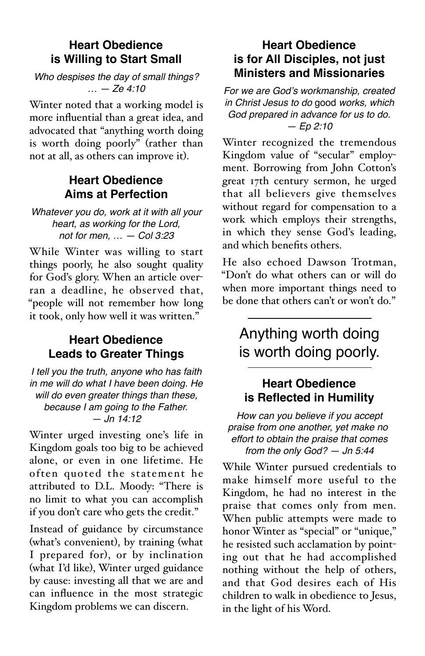# **Heart Obedience is Willing to Start Small**

*Who despises the day of small things? … — Ze 4:10*

Winter noted that a working model is more influential than a great idea, and advocated that "anything worth doing is worth doing poorly" (rather than not at all, as others can improve it).

# **Heart Obedience Aims at Perfection**

*Whatever you do, work at it with all your heart, as working for the Lord, not for men, … — Col 3:23*

While Winter was willing to start things poorly, he also sought quality for God's glory. When an article overran a deadline, he observed that, "people will not remember how long it took, only how well it was written."

# **Heart Obedience Leads to Greater Things**

*I tell you the truth, anyone who has faith in me will do what I have been doing. He will do even greater things than these, because I am going to the Father. — Jn 14:12*

Winter urged investing one's life in Kingdom goals too big to be achieved alone, or even in one lifetime. He often quoted the statement he attributed to D.L. Moody: "There is no limit to what you can accomplish if you don't care who gets the credit."

Instead of guidance by circumstance (what's convenient), by training (what I prepared for), or by inclination (what I'd like), Winter urged guidance by cause: investing all that we are and can influence in the most strategic Kingdom problems we can discern.

# **Heart Obedience is for All Disciples, not just Ministers and Missionaries**

*For we are God*'*s workmanship, created in Christ Jesus to do* good *works, which God prepared in advance for us to do. — Ep 2:10*

Winter recognized the tremendous Kingdom value of "secular" employment. Borrowing from John Cotton's great 17th century sermon, he urged that all believers give themselves without regard for compensation to a work which employs their strengths, in which they sense God's leading, and which benefits others.

He also echoed Dawson Trotman, "Don't do what others can or will do when more important things need to be done that others can't or won't do."

# Anything worth doing is worth doing poorly.

# **Heart Obedience is Reflected in Humility**

*How can you believe if you accept praise from one another, yet make no effort to obtain the praise that comes from the only God? — Jn 5:44*

While Winter pursued credentials to make himself more useful to the Kingdom, he had no interest in the praise that comes only from men. When public attempts were made to honor Winter as "special" or "unique," he resisted such acclamation by pointing out that he had accomplished nothing without the help of others, and that God desires each of His children to walk in obedience to Jesus, in the light of his Word.